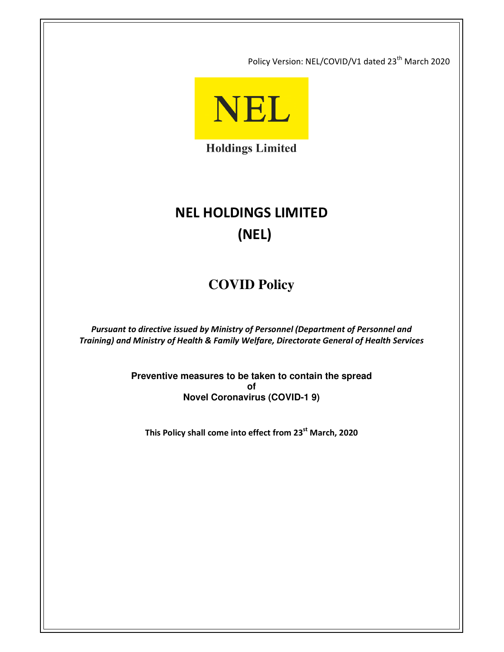Policy Version: NEL/COVID/V1 dated 23<sup>th</sup> March 2020



**Holdings Limited** 

# **NEL HOLDINGS LIMITED (NEL)**

# **COVID Policy**

*Pursuant to directive issued by Ministry of Personnel (Department of Personnel and Training) and Ministry of Health & Family Welfare, Directorate General of Health Services* 

> **Preventive measures to be taken to contain the spread of Novel Coronavirus (COVID-1 9)**

**This Policy shall come into effect from 23st March, 2020**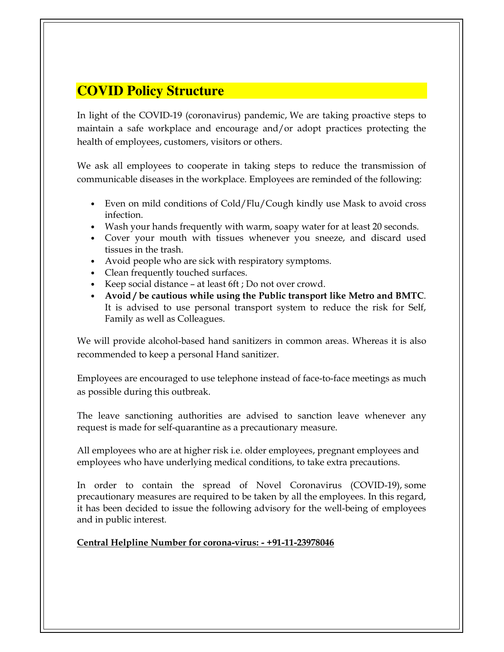# **COVID Policy Structure**

In light of the COVID-19 (coronavirus) pandemic, We are taking proactive steps to maintain a safe workplace and encourage and/or adopt practices protecting the health of employees, customers, visitors or others.

We ask all employees to cooperate in taking steps to reduce the transmission of communicable diseases in the workplace. Employees are reminded of the following:

- Even on mild conditions of Cold/Flu/Cough kindly use Mask to avoid cross infection.
- Wash your hands frequently with warm, soapy water for at least 20 seconds.
- Cover your mouth with tissues whenever you sneeze, and discard used tissues in the trash.
- Avoid people who are sick with respiratory symptoms.
- Clean frequently touched surfaces.
- Keep social distance at least 6ft ; Do not over crowd.
- **Avoid / be cautious while using the Public transport like Metro and BMTC**. It is advised to use personal transport system to reduce the risk for Self, Family as well as Colleagues.

We will provide alcohol-based hand sanitizers in common areas. Whereas it is also recommended to keep a personal Hand sanitizer.

Employees are encouraged to use telephone instead of face-to-face meetings as much as possible during this outbreak.

The leave sanctioning authorities are advised to sanction leave whenever any request is made for self-quarantine as a precautionary measure.

All employees who are at higher risk i.e. older employees, pregnant employees and employees who have underlying medical conditions, to take extra precautions.

In order to contain the spread of Novel Coronavirus (COVID-19), some precautionary measures are required to be taken by all the employees. In this regard, it has been decided to issue the following advisory for the well-being of employees and in public interest.

## **Central Helpline Number for corona-virus: - +91-11-23978046**